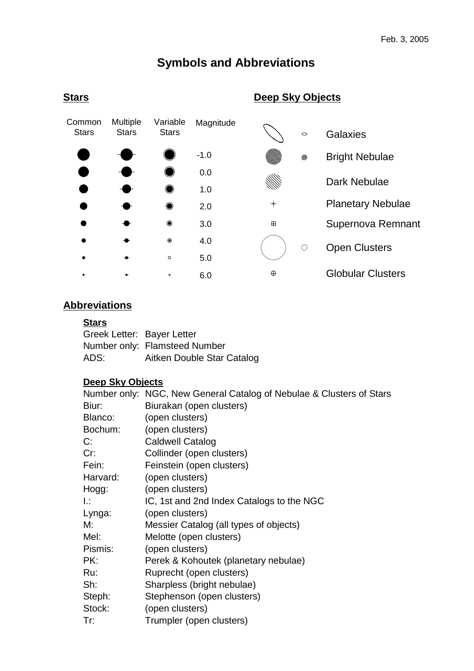## **Symbols and Abbreviations**



### **Abbreviations**

#### **Stars**

| Greek Letter: Bayer Letter |                               |
|----------------------------|-------------------------------|
|                            | Number only: Flamsteed Number |
| ADS:                       | Aitken Double Star Catalog    |

## **Deep Sky Objects**

|          | Number only: NGC, New General Catalog of Nebulae & Clusters of Stars |
|----------|----------------------------------------------------------------------|
| Biur:    | Biurakan (open clusters)                                             |
| Blanco:  | (open clusters)                                                      |
| Bochum:  | (open clusters)                                                      |
| C:       | <b>Caldwell Catalog</b>                                              |
| Cr:      | Collinder (open clusters)                                            |
| Fein:    | Feinstein (open clusters)                                            |
| Harvard: | (open clusters)                                                      |
| Hogg:    | (open clusters)                                                      |
| Ŀ.       | IC, 1st and 2nd Index Catalogs to the NGC                            |
| Lynga:   | (open clusters)                                                      |
| M:       | Messier Catalog (all types of objects)                               |
| Mel:     | Melotte (open clusters)                                              |
| Pismis:  | (open clusters)                                                      |
| PK:      | Perek & Kohoutek (planetary nebulae)                                 |
| Ru:      | Ruprecht (open clusters)                                             |
| Sh:      | Sharpless (bright nebulae)                                           |
| Steph:   | Stephenson (open clusters)                                           |
| Stock:   | (open clusters)                                                      |
| Tr:      | Trumpler (open clusters)                                             |

#### **Stars**

### **Deep Sky Objects**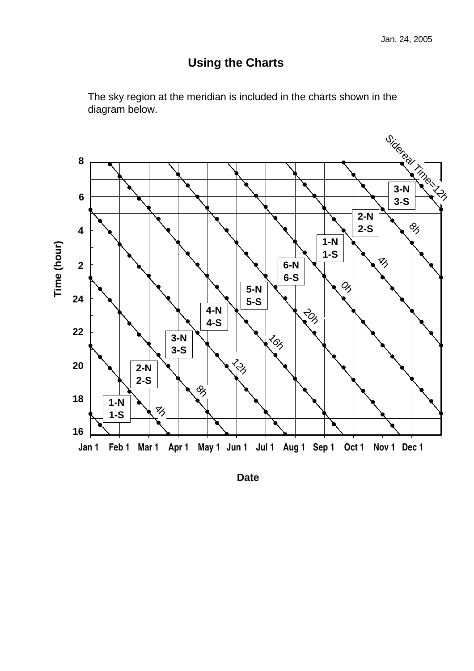## **Using the Charts**





**Date**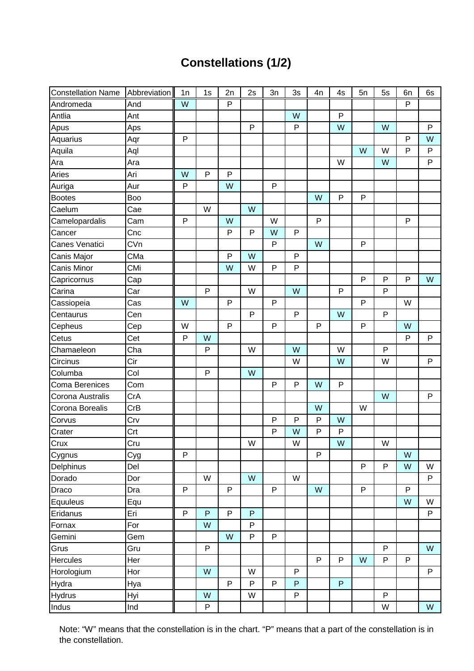# **Constellations (1/2)**

| <b>Constellation Name</b> | Abbreviation | 1n             | 1s           | 2n           | 2s           | 3n | 3s           | 4n | 4s           | 5n | 5s           | 6n           | 6s           |
|---------------------------|--------------|----------------|--------------|--------------|--------------|----|--------------|----|--------------|----|--------------|--------------|--------------|
| Andromeda                 | And          | $\overline{W}$ |              | $\mathsf{P}$ |              |    |              |    |              |    |              | ${\sf P}$    |              |
| Antlia                    | Ant          |                |              |              |              |    | W            |    | P            |    |              |              |              |
| Apus                      | Aps          |                |              |              | ${\sf P}$    |    | $\mathsf{P}$ |    | W            |    | W            |              | $\mathsf{P}$ |
| Aquarius                  | Aqr          | $\mathsf{P}$   |              |              |              |    |              |    |              |    |              | P            | W            |
| Aquila                    | Aql          |                |              |              |              |    |              |    |              | W  | W            | $\mathsf{P}$ | P            |
| Ara                       | Ara          |                |              |              |              |    |              |    | W            |    | W            |              | $\mathsf{P}$ |
| Aries                     | Ari          | W              | ${\sf P}$    | P            |              |    |              |    |              |    |              |              |              |
| Auriga                    | Aur          | $\mathsf{P}$   |              | W            |              | P  |              |    |              |    |              |              |              |
| <b>Bootes</b>             | Boo          |                |              |              |              |    |              | W  | $\mathsf{P}$ | P  |              |              |              |
| Caelum                    | Cae          |                | W            |              | W            |    |              |    |              |    |              |              |              |
| Camelopardalis            | Cam          | $\mathsf{P}$   |              | W            |              | W  |              | P  |              |    |              | ${\sf P}$    |              |
| Cancer                    | Cnc          |                |              | P            | $\mathsf{P}$ | W  | P            |    |              |    |              |              |              |
| Canes Venatici            | CVn          |                |              |              |              | P  |              | W  |              | P  |              |              |              |
| Canis Major               | CMa          |                |              | $\mathsf{P}$ | W            |    | P            |    |              |    |              |              |              |
| Canis Minor               | CMi          |                |              | W            | W            | P  | P            |    |              |    |              |              |              |
| Capricornus               | Cap          |                |              |              |              |    |              |    |              | P  | $\mathsf{P}$ | ${\sf P}$    | W            |
| Carina                    | Car          |                | $\mathsf{P}$ |              | W            |    | W            |    | $\mathsf{P}$ |    | ${\sf P}$    |              |              |
| Cassiopeia                | Cas          | W              |              | ${\sf P}$    |              | P  |              |    |              | P  |              | W            |              |
| Centaurus                 | Cen          |                |              |              | ${\sf P}$    |    | P            |    | W            |    | $\mathsf{P}$ |              |              |
| Cepheus                   | Cep          | W              |              | $\sf P$      |              | P  |              | P  |              | P  |              | W            |              |
| Cetus                     | Cet          | $\mathsf{P}$   | W            |              |              |    |              |    |              |    |              | P            | $\mathsf{P}$ |
| Chamaeleon                | Cha          |                | $\mathsf{P}$ |              | W            |    | W            |    | W            |    | $\mathsf{P}$ |              |              |
| Circinus                  | Cir          |                |              |              |              |    | W            |    | W            |    | W            |              | P            |
| Columba                   | Col          |                | $\mathsf{P}$ |              | W            |    |              |    |              |    |              |              |              |
| Coma Berenices            | Com          |                |              |              |              | P  | P            | W  | P            |    |              |              |              |
| Corona Australis          | CrA          |                |              |              |              |    |              |    |              |    | W            |              | $\mathsf{P}$ |
| Corona Borealis           | CrB          |                |              |              |              |    |              | W  |              | W  |              |              |              |
| Corvus                    | Crv          |                |              |              |              | P  | P            | P  | W            |    |              |              |              |
| Crater                    | Crt          |                |              |              |              | P  | W            | P  | P            |    |              |              |              |
| Crux                      | Cru          |                |              |              | W            |    | W            |    | W            |    | W            |              |              |
| Cygnus                    | Cyg          | $\mathsf{P}$   |              |              |              |    |              | P  |              |    |              | W            |              |
| Delphinus                 | Del          |                |              |              |              |    |              |    |              | P  | $\mathsf{P}$ | W            | W            |
| Dorado                    | Dor          |                | W            |              | W            |    | W            |    |              |    |              |              | $\mathsf{P}$ |
| Draco                     | Dra          | $\sf P$        |              | ${\sf P}$    |              | P  |              | W  |              | P  |              | P            |              |
| Equuleus                  | Equ          |                |              |              |              |    |              |    |              |    |              | W            | W            |
| Eridanus                  | Eri          | $\mathsf{P}$   | P            | ${\sf P}$    | ${\sf P}$    |    |              |    |              |    |              |              | P            |
| Fornax                    | For          |                | W            |              | P            |    |              |    |              |    |              |              |              |
| Gemini                    | Gem          |                |              | W            | P            | P  |              |    |              |    |              |              |              |
| Grus                      | Gru          |                | ${\sf P}$    |              |              |    |              |    |              |    | P            |              | W            |
| Hercules                  | Her          |                |              |              |              |    |              | P  | P            | W  | P            | P            |              |
| Horologium                | Hor          |                | W            |              | W            |    | P            |    |              |    |              |              | P            |
| Hydra                     | Hya          |                |              | ${\sf P}$    | $\sf P$      | P  | P            |    | P            |    |              |              |              |
| <b>Hydrus</b>             | Hyi          |                | W            |              | W            |    | P            |    |              |    | P            |              |              |
| Indus                     | Ind          |                | ${\sf P}$    |              |              |    |              |    |              |    | W            |              | W            |

Note: "W" means that the constellation is in the chart. "P" means that a part of the constellation is in the constellation.